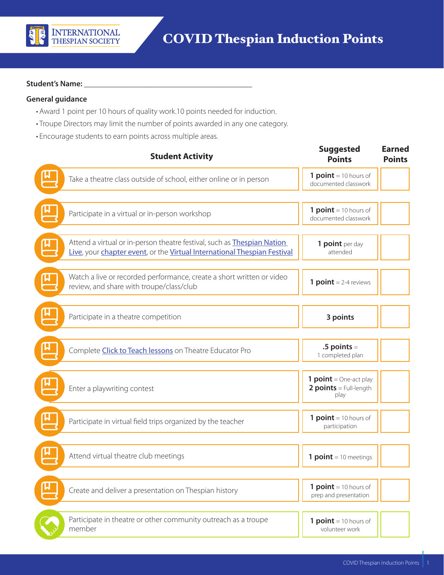

## Student's Name:

## **General guidance**

- Award 1 point per 10 hours of quality work.10 points needed for induction.
- Troupe Directors may limit the number of points awarded in any one category.
- Encourage students to earn points across multiple areas.

| <b>Student Activity</b>                                                                                                                                    | <b>Suggested</b><br><b>Points</b>                                 | <b>Earned</b><br><b>Points</b> |
|------------------------------------------------------------------------------------------------------------------------------------------------------------|-------------------------------------------------------------------|--------------------------------|
| Take a theatre class outside of school, either online or in person                                                                                         | $1$ point = 10 hours of<br>documented classwork                   |                                |
| Participate in a virtual or in-person workshop                                                                                                             | 1 $point = 10$ hours of<br>documented classwork                   |                                |
| Attend a virtual or in-person theatre festival, such as <b>Thespian Nation</b><br>Live, your chapter event, or the Virtual International Thespian Festival | 1 point per day<br>attended                                       |                                |
| Watch a live or recorded performance, create a short written or video<br>review, and share with troupe/class/club                                          | <b>1 point</b> = $2-4$ reviews                                    |                                |
| Participate in a theatre competition                                                                                                                       | 3 points                                                          |                                |
| Complete Click to Teach lessons on Theatre Educator Pro                                                                                                    | $.5$ points $=$<br>1 completed plan                               |                                |
| Enter a playwriting contest                                                                                                                                | <b>1 point</b> = One-act play<br>$2 points = Full-length$<br>play |                                |
| Participate in virtual field trips organized by the teacher                                                                                                | $1$ point = 10 hours of<br>participation                          |                                |
| Attend virtual theatre club meetings                                                                                                                       | <b>1 point</b> = 10 meetings                                      |                                |
| Create and deliver a presentation on Thespian history                                                                                                      | $1$ point = 10 hours of<br>prep and presentation                  |                                |
| Participate in theatre or other community outreach as a troupe<br>member                                                                                   | $1$ point = 10 hours of<br>volunteer work                         |                                |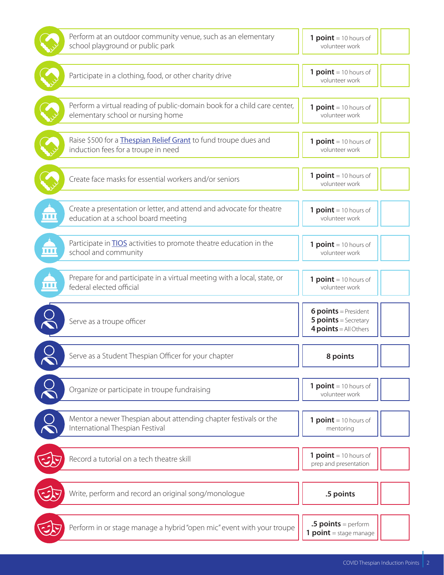| Perform at an outdoor community venue, such as an elementary<br>school playground or public park                      | $1$ point = 10 hours of<br>volunteer work                                             |  |
|-----------------------------------------------------------------------------------------------------------------------|---------------------------------------------------------------------------------------|--|
| Participate in a clothing, food, or other charity drive                                                               | $1$ point = 10 hours of<br>volunteer work                                             |  |
| Perform a virtual reading of public-domain book for a child care center,<br>elementary school or nursing home         | $1$ point = 10 hours of<br>volunteer work                                             |  |
| Raise \$500 for a Thespian Relief Grant to fund troupe dues and<br>induction fees for a troupe in need                | $1$ point = 10 hours of<br>volunteer work                                             |  |
| Create face masks for essential workers and/or seniors                                                                | $1$ point = 10 hours of<br>volunteer work                                             |  |
| Create a presentation or letter, and attend and advocate for theatre<br>n di B<br>education at a school board meeting | $1$ point = 10 hours of<br>volunteer work                                             |  |
| Participate in <b>TIOS</b> activities to promote theatre education in the<br>8 O O<br>school and community            | 1 $point = 10$ hours of<br>volunteer work                                             |  |
| Prepare for and participate in a virtual meeting with a local, state, or<br>federal elected official                  | $1$ point = 10 hours of<br>volunteer work                                             |  |
| Serve as a troupe officer                                                                                             | <b>6 points</b> = President<br><b>5 points</b> = Secretary<br>$4 points = All Others$ |  |
| Serve as a Student Thespian Officer for your chapter                                                                  | 8 points                                                                              |  |
| Organize or participate in troupe fundraising                                                                         | 1 $point = 10$ hours of<br>volunteer work                                             |  |
| Mentor a newer Thespian about attending chapter festivals or the<br>International Thespian Festival                   | 1 $point = 10$ hours of<br>mentoring                                                  |  |
| Record a tutorial on a tech theatre skill                                                                             | 1 $point = 10$ hours of<br>prep and presentation                                      |  |
| Write, perform and record an original song/monologue                                                                  | .5 points                                                                             |  |
| Perform in or stage manage a hybrid "open mic" event with your troupe                                                 | .5 $points = perform$<br><b>1 point</b> = stage manage                                |  |